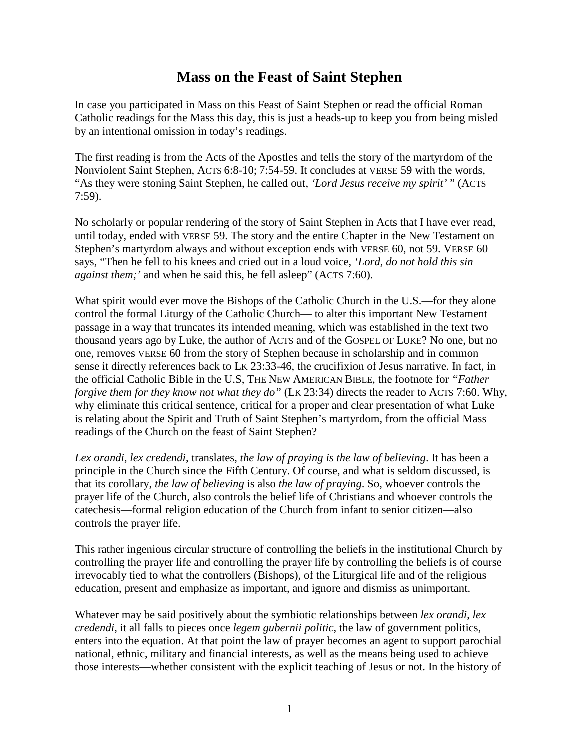## **Mass on the Feast of Saint Stephen**

In case you participated in Mass on this Feast of Saint Stephen or read the official Roman Catholic readings for the Mass this day, this is just a heads-up to keep you from being misled by an intentional omission in today's readings.

The first reading is from the Acts of the Apostles and tells the story of the martyrdom of the Nonviolent Saint Stephen, ACTS 6:8-10; 7:54-59. It concludes at VERSE 59 with the words, "As they were stoning Saint Stephen, he called out, *'Lord Jesus receive my spirit'* " (ACTS 7:59).

No scholarly or popular rendering of the story of Saint Stephen in Acts that I have ever read, until today, ended with VERSE 59. The story and the entire Chapter in the New Testament on Stephen's martyrdom always and without exception ends with VERSE 60, not 59. VERSE 60 says, "Then he fell to his knees and cried out in a loud voice, *'Lord, do not hold this sin against them;'* and when he said this, he fell asleep" (ACTS 7:60).

What spirit would ever move the Bishops of the Catholic Church in the U.S.—for they alone control the formal Liturgy of the Catholic Church— to alter this important New Testament passage in a way that truncates its intended meaning, which was established in the text two thousand years ago by Luke, the author of ACTS and of the GOSPEL OF LUKE? No one, but no one, removes VERSE 60 from the story of Stephen because in scholarship and in common sense it directly references back to LK 23:33-46, the crucifixion of Jesus narrative. In fact, in the official Catholic Bible in the U.S, THE NEW AMERICAN BIBLE, the footnote for *"Father forgive them for they know not what they do*" (LK 23:34) directs the reader to ACTS 7:60. Why, why eliminate this critical sentence, critical for a proper and clear presentation of what Luke is relating about the Spirit and Truth of Saint Stephen's martyrdom, from the official Mass readings of the Church on the feast of Saint Stephen?

*Lex orandi*, *lex credendi*, translates, *the law of praying is the law of believing*. It has been a principle in the Church since the Fifth Century. Of course, and what is seldom discussed, is that its corollary, *the law of believing* is also *the law of praying*. So, whoever controls the prayer life of the Church, also controls the belief life of Christians and whoever controls the catechesis—formal religion education of the Church from infant to senior citizen—also controls the prayer life.

This rather ingenious circular structure of controlling the beliefs in the institutional Church by controlling the prayer life and controlling the prayer life by controlling the beliefs is of course irrevocably tied to what the controllers (Bishops), of the Liturgical life and of the religious education, present and emphasize as important, and ignore and dismiss as unimportant.

Whatever may be said positively about the symbiotic relationships between *lex orandi*, *lex credendi*, it all falls to pieces once *legem gubernii politic*, the law of government politics, enters into the equation. At that point the law of prayer becomes an agent to support parochial national, ethnic, military and financial interests, as well as the means being used to achieve those interests—whether consistent with the explicit teaching of Jesus or not. In the history of